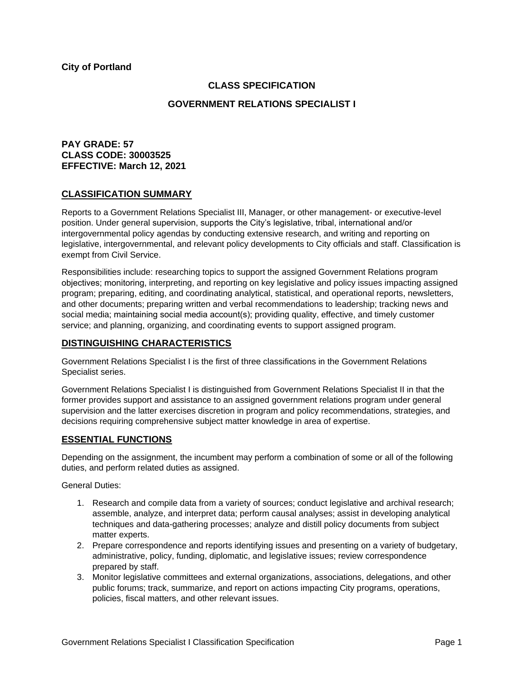**City of Portland**

# **CLASS SPECIFICATION**

# **GOVERNMENT RELATIONS SPECIALIST I**

# **PAY GRADE: 57 CLASS CODE: 30003525 EFFECTIVE: March 12, 2021**

# **CLASSIFICATION SUMMARY**

Reports to a Government Relations Specialist III, Manager, or other management- or executive-level position. Under general supervision, supports the City's legislative, tribal, international and/or intergovernmental policy agendas by conducting extensive research, and writing and reporting on legislative, intergovernmental, and relevant policy developments to City officials and staff. Classification is exempt from Civil Service.

Responsibilities include: researching topics to support the assigned Government Relations program objectives; monitoring, interpreting, and reporting on key legislative and policy issues impacting assigned program; preparing, editing, and coordinating analytical, statistical, and operational reports, newsletters, and other documents; preparing written and verbal recommendations to leadership; tracking news and social media; maintaining social media account(s); providing quality, effective, and timely customer service; and planning, organizing, and coordinating events to support assigned program.

# **DISTINGUISHING CHARACTERISTICS**

Government Relations Specialist I is the first of three classifications in the Government Relations Specialist series.

Government Relations Specialist I is distinguished from Government Relations Specialist II in that the former provides support and assistance to an assigned government relations program under general supervision and the latter exercises discretion in program and policy recommendations, strategies, and decisions requiring comprehensive subject matter knowledge in area of expertise.

## **ESSENTIAL FUNCTIONS**

Depending on the assignment, the incumbent may perform a combination of some or all of the following duties, and perform related duties as assigned.

General Duties:

- 1. Research and compile data from a variety of sources; conduct legislative and archival research; assemble, analyze, and interpret data; perform causal analyses; assist in developing analytical techniques and data-gathering processes; analyze and distill policy documents from subject matter experts.
- 2. Prepare correspondence and reports identifying issues and presenting on a variety of budgetary, administrative, policy, funding, diplomatic, and legislative issues; review correspondence prepared by staff.
- 3. Monitor legislative committees and external organizations, associations, delegations, and other public forums; track, summarize, and report on actions impacting City programs, operations, policies, fiscal matters, and other relevant issues.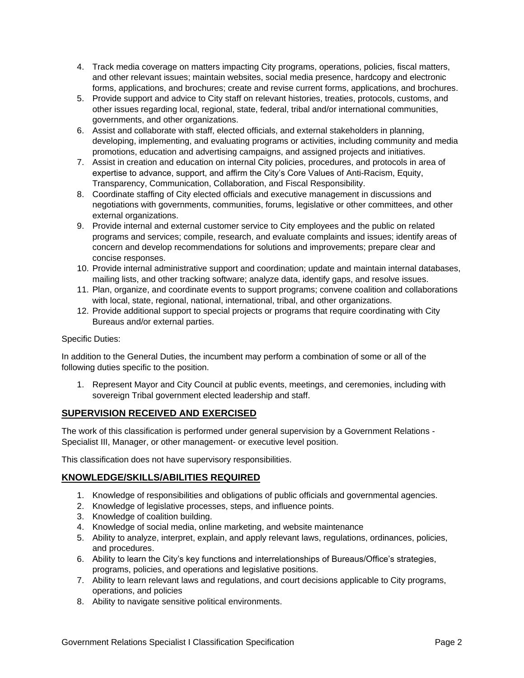- 4. Track media coverage on matters impacting City programs, operations, policies, fiscal matters, and other relevant issues; maintain websites, social media presence, hardcopy and electronic forms, applications, and brochures; create and revise current forms, applications, and brochures.
- 5. Provide support and advice to City staff on relevant histories, treaties, protocols, customs, and other issues regarding local, regional, state, federal, tribal and/or international communities, governments, and other organizations.
- 6. Assist and collaborate with staff, elected officials, and external stakeholders in planning, developing, implementing, and evaluating programs or activities, including community and media promotions, education and advertising campaigns, and assigned projects and initiatives.
- 7. Assist in creation and education on internal City policies, procedures, and protocols in area of expertise to advance, support, and affirm the City's Core Values of Anti-Racism, Equity, Transparency, Communication, Collaboration, and Fiscal Responsibility.
- 8. Coordinate staffing of City elected officials and executive management in discussions and negotiations with governments, communities, forums, legislative or other committees, and other external organizations.
- 9. Provide internal and external customer service to City employees and the public on related programs and services; compile, research, and evaluate complaints and issues; identify areas of concern and develop recommendations for solutions and improvements; prepare clear and concise responses.
- 10. Provide internal administrative support and coordination; update and maintain internal databases, mailing lists, and other tracking software; analyze data, identify gaps, and resolve issues.
- 11. Plan, organize, and coordinate events to support programs; convene coalition and collaborations with local, state, regional, national, international, tribal, and other organizations.
- 12. Provide additional support to special projects or programs that require coordinating with City Bureaus and/or external parties.

### Specific Duties:

In addition to the General Duties, the incumbent may perform a combination of some or all of the following duties specific to the position.

1. Represent Mayor and City Council at public events, meetings, and ceremonies, including with sovereign Tribal government elected leadership and staff.

## **SUPERVISION RECEIVED AND EXERCISED**

The work of this classification is performed under general supervision by a Government Relations - Specialist III, Manager, or other management- or executive level position.

This classification does not have supervisory responsibilities.

## **KNOWLEDGE/SKILLS/ABILITIES REQUIRED**

- 1. Knowledge of responsibilities and obligations of public officials and governmental agencies.
- 2. Knowledge of legislative processes, steps, and influence points.
- 3. Knowledge of coalition building.
- 4. Knowledge of social media, online marketing, and website maintenance
- 5. Ability to analyze, interpret, explain, and apply relevant laws, regulations, ordinances, policies, and procedures.
- 6. Ability to learn the City's key functions and interrelationships of Bureaus/Office's strategies, programs, policies, and operations and legislative positions.
- 7. Ability to learn relevant laws and regulations, and court decisions applicable to City programs, operations, and policies
- 8. Ability to navigate sensitive political environments.